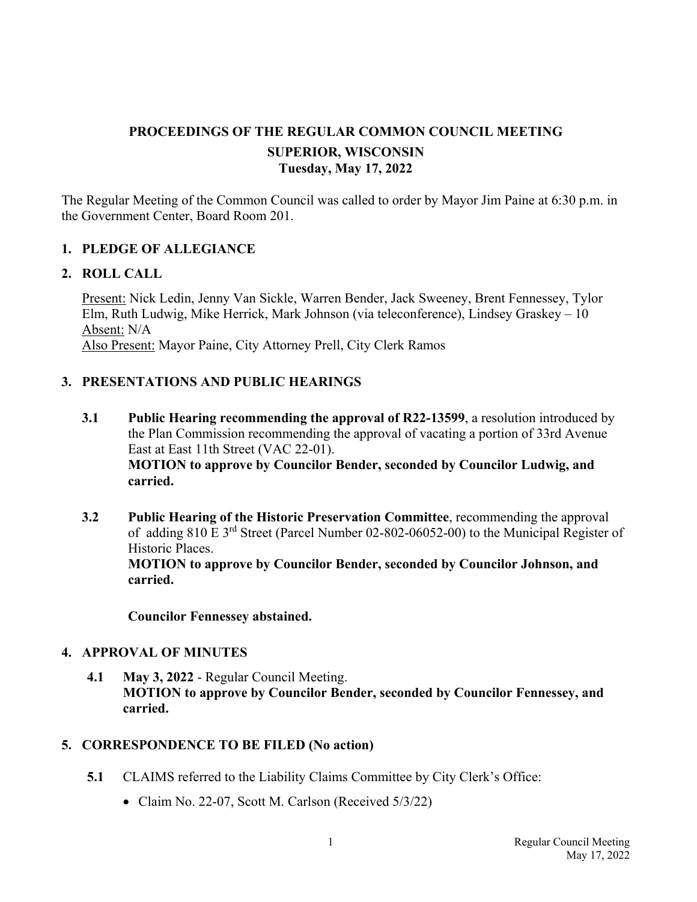# **PROCEEDINGS OF THE REGULAR COMMON COUNCIL MEETING SUPERIOR, WISCONSIN Tuesday, May 17, 2022**

The Regular Meeting of the Common Council was called to order by Mayor Jim Paine at 6:30 p.m. in the Government Center, Board Room 201.

### **1. PLEDGE OF ALLEGIANCE**

#### **2. ROLL CALL**

Present: Nick Ledin, Jenny Van Sickle, Warren Bender, Jack Sweeney, Brent Fennessey, Tylor Elm, Ruth Ludwig, Mike Herrick, Mark Johnson (via teleconference), Lindsey Graskey – 10 Absent: N/A Also Present: Mayor Paine, City Attorney Prell, City Clerk Ramos

## **3. PRESENTATIONS AND PUBLIC HEARINGS**

- **3.1 Public Hearing recommending the approval of R22-13599**, a resolution introduced by the Plan Commission recommending the approval of vacating a portion of 33rd Avenue East at East 11th Street (VAC 22-01). **MOTION to approve by Councilor Bender, seconded by Councilor Ludwig, and carried.**
- **3.2 Public Hearing of the Historic Preservation Committee**, recommending the approval of adding 810 E 3rd Street (Parcel Number 02-802-06052-00) to the Municipal Register of Historic Places. **MOTION to approve by Councilor Bender, seconded by Councilor Johnson, and**

**carried.** 

 **Councilor Fennessey abstained.** 

### **4. APPROVAL OF MINUTES**

**4.1 May 3, 2022** - Regular Council Meeting. **MOTION to approve by Councilor Bender, seconded by Councilor Fennessey, and carried.**

#### **5. CORRESPONDENCE TO BE FILED (No action)**

- **5.1** CLAIMS referred to the Liability Claims Committee by City Clerk's Office:
	- Claim No. 22-07, Scott M. Carlson (Received 5/3/22)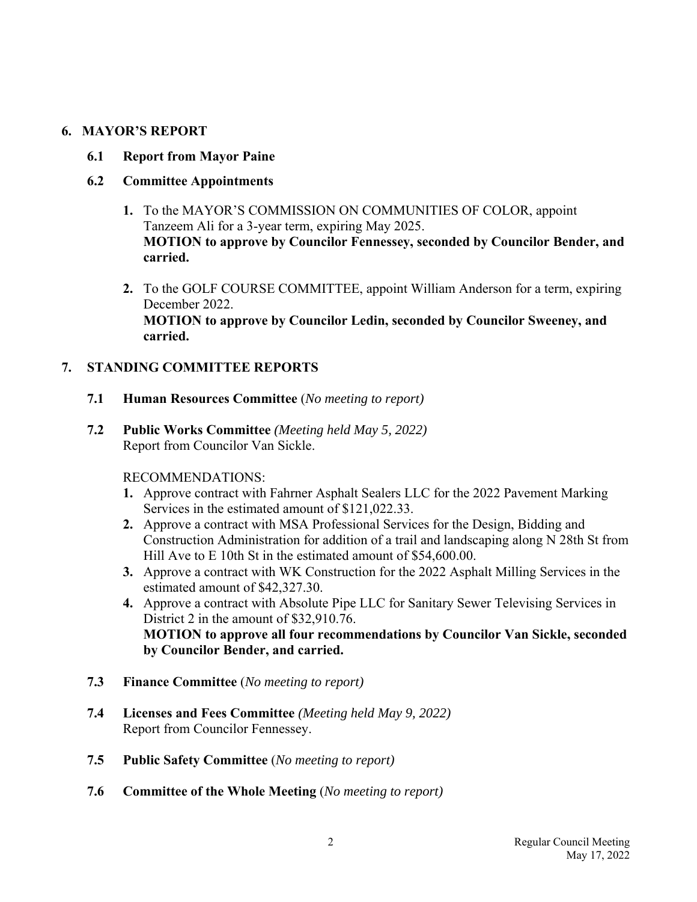# **6. MAYOR'S REPORT**

 **6.1 Report from Mayor Paine** 

# **6.2 Committee Appointments**

- **1.** To the MAYOR'S COMMISSION ON COMMUNITIES OF COLOR, appoint Tanzeem Ali for a 3-year term, expiring May 2025. **MOTION to approve by Councilor Fennessey, seconded by Councilor Bender, and carried.**
- **2.** To the GOLF COURSE COMMITTEE, appoint William Anderson for a term, expiring December 2022. **MOTION to approve by Councilor Ledin, seconded by Councilor Sweeney, and carried.**

# **7. STANDING COMMITTEE REPORTS**

- **7.1 Human Resources Committee** (*No meeting to report)*
- **7.2 Public Works Committee** *(Meeting held May 5, 2022)* Report from Councilor Van Sickle.

## RECOMMENDATIONS:

- **1.** Approve contract with Fahrner Asphalt Sealers LLC for the 2022 Pavement Marking Services in the estimated amount of \$121,022.33.
- **2.** Approve a contract with MSA Professional Services for the Design, Bidding and Construction Administration for addition of a trail and landscaping along N 28th St from Hill Ave to E 10th St in the estimated amount of \$54,600.00.
- **3.** Approve a contract with WK Construction for the 2022 Asphalt Milling Services in the estimated amount of \$42,327.30.
- **4.** Approve a contract with Absolute Pipe LLC for Sanitary Sewer Televising Services in District 2 in the amount of \$32,910.76. **MOTION to approve all four recommendations by Councilor Van Sickle, seconded by Councilor Bender, and carried.**
- **7.3 Finance Committee** (*No meeting to report)*
- **7.4 Licenses and Fees Committee** *(Meeting held May 9, 2022)* Report from Councilor Fennessey.
- **7.5 Public Safety Committee** (*No meeting to report)*
- **7.6 Committee of the Whole Meeting** (*No meeting to report)*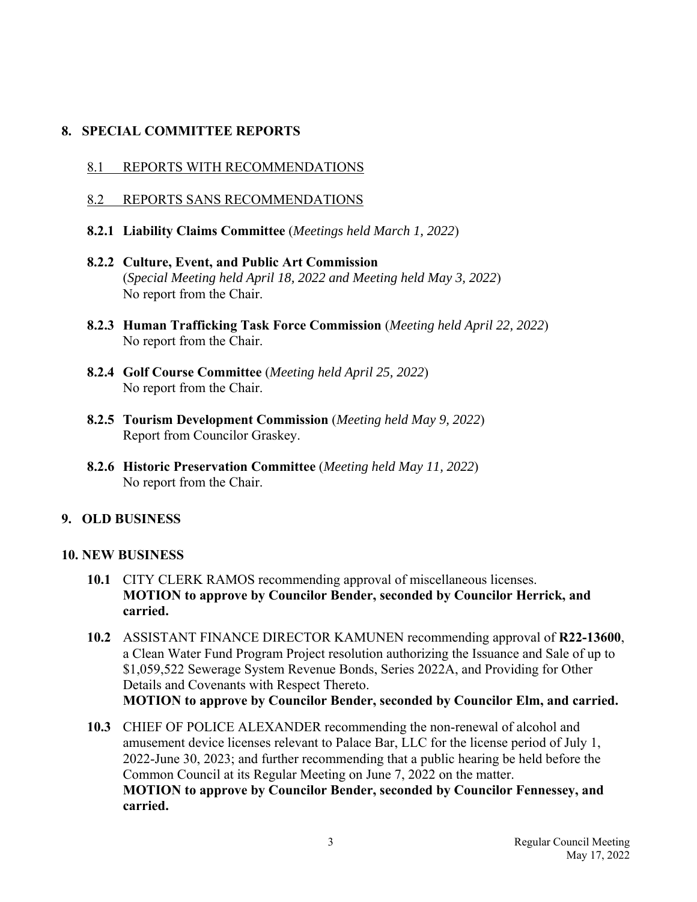# **8. SPECIAL COMMITTEE REPORTS**

- 8.1 REPORTS WITH RECOMMENDATIONS
- 8.2 REPORTS SANS RECOMMENDATIONS
- **8.2.1 Liability Claims Committee** (*Meetings held March 1, 2022*)
- **8.2.2 Culture, Event, and Public Art Commission** (*Special Meeting held April 18, 2022 and Meeting held May 3, 2022*) No report from the Chair.
- **8.2.3 Human Trafficking Task Force Commission** (*Meeting held April 22, 2022*) No report from the Chair.
- **8.2.4 Golf Course Committee** (*Meeting held April 25, 2022*) No report from the Chair.
- **8.2.5 Tourism Development Commission** (*Meeting held May 9, 2022*) Report from Councilor Graskey.
- **8.2.6 Historic Preservation Committee** (*Meeting held May 11, 2022*) No report from the Chair.

# **9. OLD BUSINESS**

## **10. NEW BUSINESS**

- **10.1** CITY CLERK RAMOS recommending approval of miscellaneous licenses. **MOTION to approve by Councilor Bender, seconded by Councilor Herrick, and carried.**
- **10.2** ASSISTANT FINANCE DIRECTOR KAMUNEN recommending approval of **R22-13600**, a Clean Water Fund Program Project resolution authorizing the Issuance and Sale of up to \$1,059,522 Sewerage System Revenue Bonds, Series 2022A, and Providing for Other Details and Covenants with Respect Thereto. **MOTION to approve by Councilor Bender, seconded by Councilor Elm, and carried.**
- **10.3** CHIEF OF POLICE ALEXANDER recommending the non-renewal of alcohol and amusement device licenses relevant to Palace Bar, LLC for the license period of July 1, 2022-June 30, 2023; and further recommending that a public hearing be held before the Common Council at its Regular Meeting on June 7, 2022 on the matter. **MOTION to approve by Councilor Bender, seconded by Councilor Fennessey, and carried.**